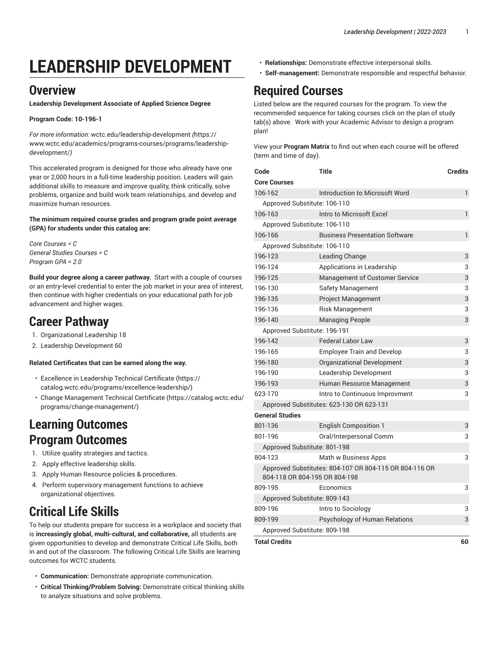# **LEADERSHIP DEVELOPMENT**

#### **Overview**

**Leadership Development Associate of Applied Science Degree**

#### **Program Code: 10-196-1**

*For more information:* [wctc.edu/leadership-development](https://www.wctc.edu/academics/programs-courses/programs/leadership-development/) *(*[https://](https://www.wctc.edu/academics/programs-courses/programs/leadership-development/) [www.wctc.edu/academics/programs-courses/programs/leadership](https://www.wctc.edu/academics/programs-courses/programs/leadership-development/)[development/](https://www.wctc.edu/academics/programs-courses/programs/leadership-development/)*)*

This accelerated program is designed for those who already have one year or 2,000 hours in a full-time leadership position. Leaders will gain additional skills to measure and improve quality, think critically, solve problems, organize and build work team relationships, and develop and maximize human resources.

**The minimum required course grades and program grade point average (GPA) for students under this catalog are:**

*Core Courses = C General Studies Courses = C Program GPA = 2.0*

**Build your degree along a career pathway.** Start with a couple of courses or an entry-level credential to enter the job market in your area of interest, then continue with higher credentials on your educational path for job advancement and higher wages.

#### **Career Pathway**

- 1. Organizational Leadership 18
- 2. Leadership Development 60

#### **Related Certificates that can be earned along the way.**

- Excellence in [Leadership](https://catalog.wctc.edu/programs/excellence-leadership/) Technical Certificate ([https://](https://catalog.wctc.edu/programs/excellence-leadership/) [catalog.wctc.edu/programs/excellence-leadership/\)](https://catalog.wctc.edu/programs/excellence-leadership/)
- Change [Management](https://catalog.wctc.edu/programs/change-management/) Technical Certificate ([https://catalog.wctc.edu/](https://catalog.wctc.edu/programs/change-management/) [programs/change-management/\)](https://catalog.wctc.edu/programs/change-management/)

#### **Learning Outcomes Program Outcomes**

- 1. Utilize quality strategies and tactics.
- 2. Apply effective leadership skills.
- 3. Apply Human Resource policies & procedures.
- 4. Perform supervisory management functions to achieve organizational objectives.

# **Critical Life Skills**

To help our students prepare for success in a workplace and society that is **increasingly global, multi-cultural, and collaborative,** all students are given opportunities to develop and demonstrate Critical Life Skills, both in and out of the classroom. The following Critical Life Skills are learning outcomes for WCTC students.

- **Communication:** Demonstrate appropriate communication.
- **Critical Thinking/Problem Solving:** Demonstrate critical thinking skills to analyze situations and solve problems.
- **Relationships:** Demonstrate effective interpersonal skills.
- **Self-management:** Demonstrate responsible and respectful behavior.

## **Required Courses**

Listed below are the required courses for the program. To view the recommended sequence for taking courses click on the plan of study tab(s) above. Work with your Academic Advisor to design a program plan!

View your **Program Matrix** to find out when each course will be offered (term and time of day).

| Code                          | <b>Title</b>                                           | <b>Credits</b> |
|-------------------------------|--------------------------------------------------------|----------------|
| <b>Core Courses</b>           |                                                        |                |
| 106-162                       | Introduction to Microsoft Word                         | 1              |
| Approved Substitute: 106-110  |                                                        |                |
| 106-163                       | Intro to Microsoft Excel                               | 1              |
| Approved Substitute: 106-110  |                                                        |                |
| 106-166                       | <b>Business Presentation Software</b>                  | $\mathbf{1}$   |
| Approved Substitute: 106-110  |                                                        |                |
| 196-123                       | <b>Leading Change</b>                                  | 3              |
| 196-124                       | Applications in Leadership                             | 3              |
| 196-125                       | <b>Management of Customer Service</b>                  | 3              |
| 196-130                       | Safety Management                                      | 3              |
| 196-135                       | Project Management                                     | 3              |
| 196-136                       | <b>Risk Management</b>                                 | 3              |
| 196-140                       | <b>Managing People</b>                                 | 3              |
| Approved Substitute: 196-191  |                                                        |                |
| 196-142                       | <b>Federal Labor Law</b>                               | 3              |
| 196-165                       | <b>Employee Train and Develop</b>                      | 3              |
| 196-180                       | Organizational Development                             | 3              |
| 196-190                       | Leadership Development                                 | 3              |
| 196-193                       | Human Resource Management                              | 3              |
| 623-170                       | Intro to Continuous Improvment                         | 3              |
|                               | Approved Substitutes: 623-130 OR 623-131               |                |
| <b>General Studies</b>        |                                                        |                |
| 801-136                       | <b>English Composition 1</b>                           | 3              |
| 801-196                       | Oral/Interpersonal Comm                                | 3              |
| Approved Substitute: 801-198  |                                                        |                |
| 804-123                       | Math w Business Apps                                   | 3              |
| 804-118 OR 804-195 OR 804-198 | Approved Substitutes: 804-107 OR 804-115 OR 804-116 OR |                |
| 809-195                       | Economics                                              | 3              |
| Approved Substitute: 809-143  |                                                        |                |
| 809-196                       | Intro to Sociology                                     | 3              |
| 809-199                       | Psychology of Human Relations                          | 3              |
| Approved Substitute: 809-198  |                                                        |                |
| Total Credits                 |                                                        | 6በ             |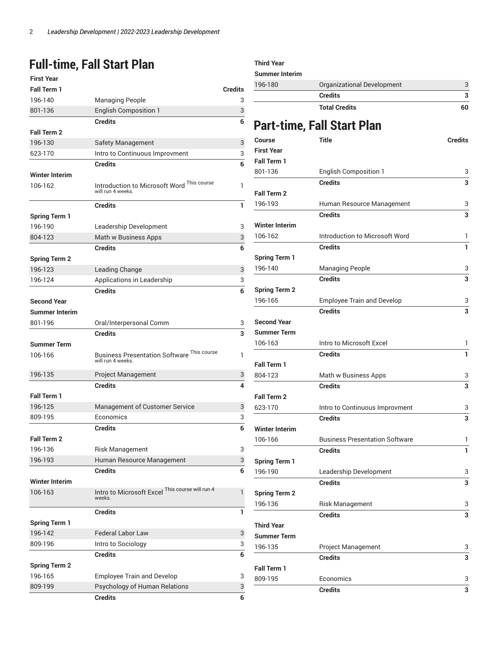### **Full-time, Fall Start Plan**

| <b>First Year</b>     |                                                                 |                |
|-----------------------|-----------------------------------------------------------------|----------------|
| <b>Fall Term 1</b>    |                                                                 | <b>Credits</b> |
| 196-140               | <b>Managing People</b>                                          | 3              |
| 801-136               | <b>English Composition 1</b>                                    | 3              |
|                       | <b>Credits</b>                                                  | 6              |
| <b>Fall Term 2</b>    |                                                                 |                |
| 196-130               | <b>Safety Management</b>                                        | 3              |
| 623-170               | Intro to Continuous Improvment                                  | 3              |
|                       | <b>Credits</b>                                                  | 6              |
| <b>Winter Interim</b> |                                                                 |                |
| 106-162               | Introduction to Microsoft Word This course<br>will run 4 weeks. | 1              |
|                       | <b>Credits</b>                                                  | 1              |
| <b>Spring Term 1</b>  |                                                                 |                |
| 196-190               | Leadership Development                                          | 3              |
| 804-123               | Math w Business Apps                                            | 3              |
|                       | <b>Credits</b>                                                  | 6              |
| <b>Spring Term 2</b>  |                                                                 |                |
| 196-123               | Leading Change                                                  | 3              |
| 196-124               | Applications in Leadership                                      | 3              |
|                       | <b>Credits</b>                                                  | 6              |
| <b>Second Year</b>    |                                                                 |                |
| <b>Summer Interim</b> |                                                                 |                |
| 801-196               | Oral/Interpersonal Comm                                         | 3              |
|                       | <b>Credits</b>                                                  | 3              |
| <b>Summer Term</b>    |                                                                 |                |
| 106-166               | <b>Business Presentation Software This course</b>               | 1              |
|                       | will run 4 weeks.                                               |                |
| 196-135               | <b>Project Management</b>                                       | 3              |
|                       | <b>Credits</b>                                                  | 4              |
| <b>Fall Term 1</b>    |                                                                 |                |
| 196-125               | Management of Customer Service                                  | 3              |
| 809-195               | Economics                                                       | 3              |
|                       | <b>Credits</b>                                                  | 6              |
| <b>Fall Term 2</b>    |                                                                 |                |
| 196-136               | <b>Risk Management</b>                                          | 3              |
| 196-193               | Human Resource Management                                       | 3              |
|                       | <b>Credits</b>                                                  | 6              |
| <b>Winter Interim</b> |                                                                 |                |
| 106-163               | Intro to Microsoft Excel This course will run 4                 | 1              |
|                       | weeks.                                                          |                |
|                       | <b>Credits</b>                                                  | 1              |
| <b>Spring Term 1</b>  |                                                                 |                |
| 196-142               | <b>Federal Labor Law</b>                                        | 3              |
| 809-196               | Intro to Sociology                                              | 3              |
|                       | <b>Credits</b>                                                  | 6              |
| <b>Spring Term 2</b>  |                                                                 |                |
| 196-165               | <b>Employee Train and Develop</b>                               | 3              |
| 809-199               | Psychology of Human Relations                                   | 3              |
|                       | <b>Credits</b>                                                  | 6              |
|                       |                                                                 |                |

#### **Third Year Summer Interim** [196-180](/search/?P=196-180) Organizational Development 3 **Credits 3 Total Credits 60 Part-time, Fall Start Plan Course Title Credits First Year Fall Term 1** 801-136 English Composition 1 3 **Credits 3 Fall Term 2** 196-193 Human Resource Management 3 **Credits 3 Winter Interim** 106-162 Introduction to Microsoft Word 1 **Credits 1 Spring Term 1** 196-140 Managing People 3 **Credits 3 Spring Term 2** 196-165 Employee Train and Develop 3 **Credits 3 Second Year Summer Term** 106-163 Intro to Microsoft Excel 1 **Credits 1 Fall Term 1** 804-123 Math w Business Apps 3 **Credits 3 Fall Term 2** 623-170 Intro to Continuous Improvment 3 **Credits 3 Winter Interim** 106-166 Business Presentation Software 1 **Credits 1 Spring Term 1** 196-190 Leadership Development 3 **Credits 3 Spring Term 2** 196-136 Risk Management 3 **Credits 3 Third Year Summer Term** 196-135 Project Management 3 **Credits 3 Fall Term 1** 809-195 Economics 3 **Credits 3**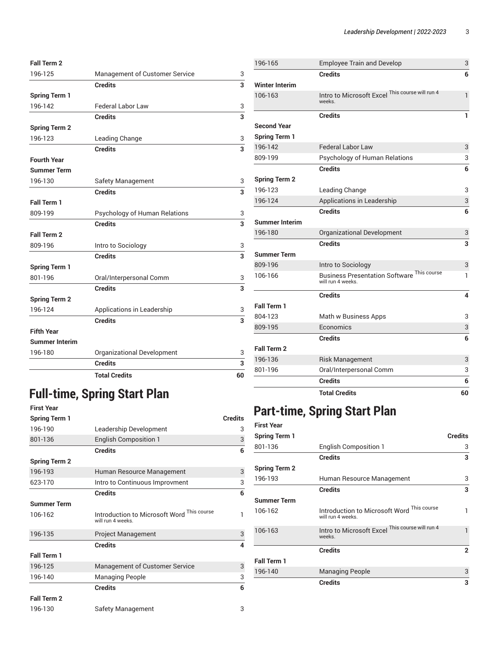#### **Fall Term 2** 196-125 Management of Customer Service 3 **Credits 3 Spring Term 1** 196-142 Federal Labor Law 3 **Credits 3 Spring Term 2** 196-123 Leading Change 3 **Credits 3 Fourth Year Summer Term** 196-130 Safety Management 3 **Credits 3 Fall Term 1** 809-199 Psychology of Human Relations 3 **Credits 3 Fall Term 2** 809-196 **Intro to Sociology** 3 **Credits 3 Spring Term 1** 801-196 Oral/Interpersonal Comm 3 **Credits 3 Spring Term 2** 196-124 Applications in Leadership 3 **Credits 3 Fifth Year Summer Interim** 196-180 Organizational Development 3 **Credits 3 Total Credits 60**

# **Full-time, Spring Start Plan**

| <b>First Year</b>                 |                                                                 |                |
|-----------------------------------|-----------------------------------------------------------------|----------------|
| <b>Spring Term 1</b>              |                                                                 | <b>Credits</b> |
| 196-190<br>Leadership Development |                                                                 | 3              |
| 801-136                           | <b>English Composition 1</b>                                    | 3              |
|                                   | <b>Credits</b>                                                  | 6              |
| <b>Spring Term 2</b>              |                                                                 |                |
| 196-193                           | Human Resource Management                                       | 3              |
| 623-170                           | Intro to Continuous Improvment                                  | 3              |
|                                   | <b>Credits</b>                                                  | 6              |
| <b>Summer Term</b>                |                                                                 |                |
| 106-162                           | Introduction to Microsoft Word This course<br>will run 4 weeks. | $\mathbf{1}$   |
| 196-135                           | <b>Project Management</b>                                       | 3              |
|                                   | <b>Credits</b>                                                  | $\overline{4}$ |
| <b>Fall Term 1</b>                |                                                                 |                |
| 196-125                           | <b>Management of Customer Service</b>                           | 3              |
| 196-140                           | <b>Managing People</b>                                          | 3              |
|                                   | <b>Credits</b>                                                  | 6              |
| <b>Fall Term 2</b>                |                                                                 |                |
| 196-130                           | Safety Management                                               | 3              |

| 196-165               | <b>Employee Train and Develop</b>                                      | 3  |
|-----------------------|------------------------------------------------------------------------|----|
|                       | <b>Credits</b>                                                         | 6  |
| <b>Winter Interim</b> |                                                                        |    |
| 106-163               | Intro to Microsoft Excel This course will run 4<br>weeks.              | 1  |
|                       | <b>Credits</b>                                                         | 1  |
| <b>Second Year</b>    |                                                                        |    |
| <b>Spring Term 1</b>  |                                                                        |    |
| 196-142               | <b>Federal Labor Law</b>                                               | 3  |
| 809-199               | Psychology of Human Relations                                          | 3  |
|                       | <b>Credits</b>                                                         | 6  |
| <b>Spring Term 2</b>  |                                                                        |    |
| 196-123               | Leading Change                                                         | 3  |
| 196-124               | Applications in Leadership                                             | 3  |
|                       | <b>Credits</b>                                                         | 6  |
| <b>Summer Interim</b> |                                                                        |    |
| 196-180               | Organizational Development                                             | 3  |
|                       | <b>Credits</b>                                                         | 3  |
| <b>Summer Term</b>    |                                                                        |    |
| 809-196               | Intro to Sociology                                                     | 3  |
| 106-166               | <b>Business Presentation Software This course</b><br>will run 4 weeks. |    |
|                       | <b>Credits</b>                                                         | 4  |
| Fall Term 1           |                                                                        |    |
| 804-123               | Math w Business Apps                                                   | 3  |
| 809-195               | Economics                                                              | 3  |
|                       | <b>Credits</b>                                                         | 6  |
| Fall Term 2           |                                                                        |    |
| 196-136               | <b>Risk Management</b>                                                 | 3  |
| 801-196               | Oral/Interpersonal Comm                                                | 3  |
|                       | <b>Credits</b>                                                         | 6  |
|                       | <b>Total Credits</b>                                                   | 60 |

### **Part-time, Spring Start Plan**

| <b>First Year</b>    |                                                                 |                |
|----------------------|-----------------------------------------------------------------|----------------|
| <b>Spring Term 1</b> |                                                                 | <b>Credits</b> |
| 801-136              | <b>English Composition 1</b>                                    | 3              |
|                      | <b>Credits</b>                                                  | 3              |
| <b>Spring Term 2</b> |                                                                 |                |
| 196-193              | Human Resource Management                                       | 3              |
|                      | <b>Credits</b>                                                  | 3              |
| <b>Summer Term</b>   |                                                                 |                |
| 106-162              | Introduction to Microsoft Word This course<br>will run 4 weeks. | 1              |
| 106-163              | Intro to Microsoft Excel This course will run 4<br>weeks.       | 1              |
|                      | <b>Credits</b>                                                  | $\overline{2}$ |
| Fall Term 1          |                                                                 |                |
| 196-140              | <b>Managing People</b>                                          | 3              |
|                      | <b>Credits</b>                                                  | 3              |